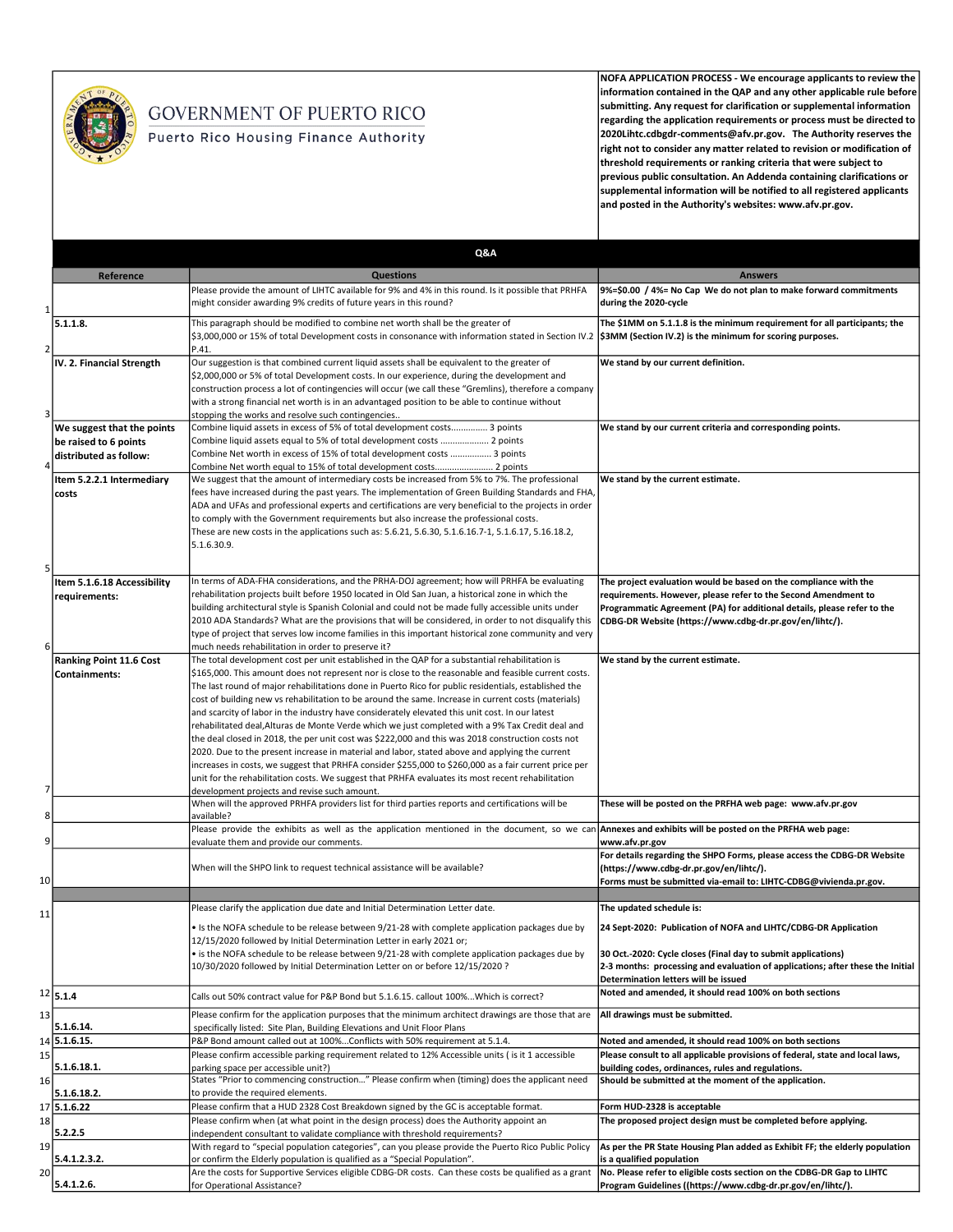

## **GOVERNMENT OF PUERTO RICO**

Puerto Rico Housing Finance Authority

NOFA APPLICATION PROCESS - We encourage applicants to review the information contained in the QAP and any other applicable rule before submitting. Any request for clarification or supplemental information regarding the application requirements or process must be directed to 2020Lihtc.cdbgdr-comments@afv.pr.gov. The Authority reserves the right not to consider any matter related to revision or modification of threshold requirements or ranking criteria that were subject to previous public consultation. An Addenda containing clarifications or supplemental information will be notified to all registered applicants and posted in the Authority's websites: www.afv.pr.gov.

|          |                                                                               | Q&A                                                                                                                                                                                                                                                                                                                                                                                                                                                                                                                                                                                                                                                                                                                                                                                                                                                                                                                                                                                                                                                                                               |                                                                                                                                                                                                                                                                          |
|----------|-------------------------------------------------------------------------------|---------------------------------------------------------------------------------------------------------------------------------------------------------------------------------------------------------------------------------------------------------------------------------------------------------------------------------------------------------------------------------------------------------------------------------------------------------------------------------------------------------------------------------------------------------------------------------------------------------------------------------------------------------------------------------------------------------------------------------------------------------------------------------------------------------------------------------------------------------------------------------------------------------------------------------------------------------------------------------------------------------------------------------------------------------------------------------------------------|--------------------------------------------------------------------------------------------------------------------------------------------------------------------------------------------------------------------------------------------------------------------------|
|          | Reference                                                                     | <b>Questions</b>                                                                                                                                                                                                                                                                                                                                                                                                                                                                                                                                                                                                                                                                                                                                                                                                                                                                                                                                                                                                                                                                                  | <b>Answers</b>                                                                                                                                                                                                                                                           |
| 1        |                                                                               | Please provide the amount of LIHTC available for 9% and 4% in this round. Is it possible that PRHFA<br>might consider awarding 9% credits of future years in this round?                                                                                                                                                                                                                                                                                                                                                                                                                                                                                                                                                                                                                                                                                                                                                                                                                                                                                                                          | 9%=\$0.00 / 4%= No Cap We do not plan to make forward commitments<br>during the 2020-cycle                                                                                                                                                                               |
| 2        | 5.1.1.8.                                                                      | This paragraph should be modified to combine net worth shall be the greater of<br>\$3,000,000 or 15% of total Development costs in consonance with information stated in Section IV.2 <b>\$3MM (Section IV.2) is the minimum for scoring purposes.</b><br>P.41.                                                                                                                                                                                                                                                                                                                                                                                                                                                                                                                                                                                                                                                                                                                                                                                                                                   | The \$1MM on 5.1.1.8 is the minimum requirement for all participants; the                                                                                                                                                                                                |
| 3        | IV. 2. Financial Strength                                                     | Our suggestion is that combined current liquid assets shall be equivalent to the greater of<br>\$2,000,000 or 5% of total Development costs. In our experience, during the development and<br>construction process a lot of contingencies will occur (we call these "Gremlins), therefore a company<br>with a strong financial net worth is in an advantaged position to be able to continue without<br>stopping the works and resolve such contingencies                                                                                                                                                                                                                                                                                                                                                                                                                                                                                                                                                                                                                                         | We stand by our current definition.                                                                                                                                                                                                                                      |
|          | We suggest that the points<br>be raised to 6 points<br>distributed as follow: | Combine liquid assets in excess of 5% of total development costs 3 points<br>Combine liquid assets equal to 5% of total development costs  2 points<br>Combine Net worth in excess of 15% of total development costs  3 points<br>Combine Net worth equal to 15% of total development costs 2 points                                                                                                                                                                                                                                                                                                                                                                                                                                                                                                                                                                                                                                                                                                                                                                                              | We stand by our current criteria and corresponding points.                                                                                                                                                                                                               |
| 5        | Item 5.2.2.1 Intermediary<br>costs                                            | We suggest that the amount of intermediary costs be increased from 5% to 7%. The professional<br>fees have increased during the past years. The implementation of Green Building Standards and FHA,<br>ADA and UFAs and professional experts and certifications are very beneficial to the projects in order<br>to comply with the Government requirements but also increase the professional costs.<br>These are new costs in the applications such as: 5.6.21, 5.6.30, 5.1.6.16.7-1, 5.1.6.17, 5.16.18.2,<br>5.1.6.30.9.                                                                                                                                                                                                                                                                                                                                                                                                                                                                                                                                                                        | We stand by the current estimate.                                                                                                                                                                                                                                        |
| 6        | Item 5.1.6.18 Accessibility<br>requirements:                                  | In terms of ADA-FHA considerations, and the PRHA-DOJ agreement; how will PRHFA be evaluating<br>rehabilitation projects built before 1950 located in Old San Juan, a historical zone in which the<br>building architectural style is Spanish Colonial and could not be made fully accessible units under<br>2010 ADA Standards? What are the provisions that will be considered, in order to not disqualify this<br>type of project that serves low income families in this important historical zone community and very<br>much needs rehabilitation in order to preserve it?                                                                                                                                                                                                                                                                                                                                                                                                                                                                                                                    | The project evaluation would be based on the compliance with the<br>requirements. However, please refer to the Second Amendment to<br>Programmatic Agreement (PA) for additional details, please refer to the<br>CDBG-DR Website (https://www.cdbg-dr.pr.gov/en/lihtc/). |
| 7        | <b>Ranking Point 11.6 Cost</b><br>Containments:                               | The total development cost per unit established in the QAP for a substantial rehabilitation is<br>\$165,000. This amount does not represent nor is close to the reasonable and feasible current costs.<br>The last round of major rehabilitations done in Puerto Rico for public residentials, established the<br>cost of building new vs rehabilitation to be around the same. Increase in current costs (materials)<br>and scarcity of labor in the industry have considerately elevated this unit cost. In our latest<br>rehabilitated deal, Alturas de Monte Verde which we just completed with a 9% Tax Credit deal and<br>the deal closed in 2018, the per unit cost was \$222,000 and this was 2018 construction costs not<br>2020. Due to the present increase in material and labor, stated above and applying the current<br>increases in costs, we suggest that PRHFA consider \$255,000 to \$260,000 as a fair current price per<br>unit for the rehabilitation costs. We suggest that PRHFA evaluates its most recent rehabilitation<br>development projects and revise such amount. | We stand by the current estimate.                                                                                                                                                                                                                                        |
| 8        |                                                                               | When will the approved PRHFA providers list for third parties reports and certifications will be<br>available?                                                                                                                                                                                                                                                                                                                                                                                                                                                                                                                                                                                                                                                                                                                                                                                                                                                                                                                                                                                    | These will be posted on the PRFHA web page: www.afv.pr.gov                                                                                                                                                                                                               |
| 9        |                                                                               | Please provide the exhibits as well as the application mentioned in the document, so we can Annexes and exhibits will be posted on the PRFHA web page:                                                                                                                                                                                                                                                                                                                                                                                                                                                                                                                                                                                                                                                                                                                                                                                                                                                                                                                                            |                                                                                                                                                                                                                                                                          |
| 10       |                                                                               | evaluate them and provide our comments.<br>When will the SHPO link to request technical assistance will be available?                                                                                                                                                                                                                                                                                                                                                                                                                                                                                                                                                                                                                                                                                                                                                                                                                                                                                                                                                                             | www.afv.pr.gov<br>For details regarding the SHPO Forms, please access the CDBG-DR Website<br>(https://www.cdbg-dr.pr.gov/en/lihtc/).<br>Forms must be submitted via-email to: LIHTC-CDBG@vivienda.pr.gov.                                                                |
|          |                                                                               | Please clarify the application due date and Initial Determination Letter date.                                                                                                                                                                                                                                                                                                                                                                                                                                                                                                                                                                                                                                                                                                                                                                                                                                                                                                                                                                                                                    | The updated schedule is:                                                                                                                                                                                                                                                 |
| 11       |                                                                               | • Is the NOFA schedule to be release between 9/21-28 with complete application packages due by<br>12/15/2020 followed by Initial Determination Letter in early 2021 or;<br>• is the NOFA schedule to be release between 9/21-28 with complete application packages due by<br>10/30/2020 followed by Initial Determination Letter on or before 12/15/2020 ?                                                                                                                                                                                                                                                                                                                                                                                                                                                                                                                                                                                                                                                                                                                                        | 24 Sept-2020: Publication of NOFA and LIHTC/CDBG-DR Application<br>30 Oct.-2020: Cycle closes (Final day to submit applications)<br>2-3 months: processing and evaluation of applications; after these the Initial<br>Determination letters will be issued               |
|          | 12 5.1.4                                                                      | Calls out 50% contract value for P&P Bond but 5.1.6.15. callout 100% Which is correct?                                                                                                                                                                                                                                                                                                                                                                                                                                                                                                                                                                                                                                                                                                                                                                                                                                                                                                                                                                                                            | Noted and amended, it should read 100% on both sections                                                                                                                                                                                                                  |
| 13       | 5.1.6.14.                                                                     | Please confirm for the application purposes that the minimum architect drawings are those that are<br>specifically listed: Site Plan, Building Elevations and Unit Floor Plans                                                                                                                                                                                                                                                                                                                                                                                                                                                                                                                                                                                                                                                                                                                                                                                                                                                                                                                    | All drawings must be submitted.                                                                                                                                                                                                                                          |
|          | 14 5.1.6.15.                                                                  | P&P Bond amount called out at 100%Conflicts with 50% requirement at 5.1.4.                                                                                                                                                                                                                                                                                                                                                                                                                                                                                                                                                                                                                                                                                                                                                                                                                                                                                                                                                                                                                        | Noted and amended, it should read 100% on both sections                                                                                                                                                                                                                  |
| 15<br>16 | 5.1.6.18.1.                                                                   | Please confirm accessible parking requirement related to 12% Accessible units ( is it 1 accessible<br>parking space per accessible unit?)<br>States "Prior to commencing construction" Please confirm when (timing) does the applicant need                                                                                                                                                                                                                                                                                                                                                                                                                                                                                                                                                                                                                                                                                                                                                                                                                                                       | Please consult to all applicable provisions of federal, state and local laws,<br>building codes, ordinances, rules and regulations.<br>Should be submitted at the moment of the application.                                                                             |
|          | 5.1.6.18.2.                                                                   | to provide the required elements.                                                                                                                                                                                                                                                                                                                                                                                                                                                                                                                                                                                                                                                                                                                                                                                                                                                                                                                                                                                                                                                                 |                                                                                                                                                                                                                                                                          |
| 17       | 5.1.6.22                                                                      | Please confirm that a HUD 2328 Cost Breakdown signed by the GC is acceptable format.                                                                                                                                                                                                                                                                                                                                                                                                                                                                                                                                                                                                                                                                                                                                                                                                                                                                                                                                                                                                              | Form HUD-2328 is acceptable                                                                                                                                                                                                                                              |
| 18       | 5.2.2.5                                                                       | Please confirm when (at what point in the design process) does the Authority appoint an<br>independent consultant to validate compliance with threshold requirements?<br>With regard to "special population categories", can you please provide the Puerto Rico Public Policy                                                                                                                                                                                                                                                                                                                                                                                                                                                                                                                                                                                                                                                                                                                                                                                                                     | The proposed project design must be completed before applying.                                                                                                                                                                                                           |
| 19<br>20 | 5.4.1.2.3.2.                                                                  | or confirm the Elderly population is qualified as a "Special Population".<br>Are the costs for Supportive Services eligible CDBG-DR costs. Can these costs be qualified as a grant                                                                                                                                                                                                                                                                                                                                                                                                                                                                                                                                                                                                                                                                                                                                                                                                                                                                                                                | As per the PR State Housing Plan added as Exhibit FF; the elderly population<br>is a qualified population<br>No. Please refer to eligible costs section on the CDBG-DR Gap to LIHTC                                                                                      |
|          | 5.4.1.2.6.                                                                    | for Operational Assistance?                                                                                                                                                                                                                                                                                                                                                                                                                                                                                                                                                                                                                                                                                                                                                                                                                                                                                                                                                                                                                                                                       | Program Guidelines ((https://www.cdbg-dr.pr.gov/en/lihtc/).                                                                                                                                                                                                              |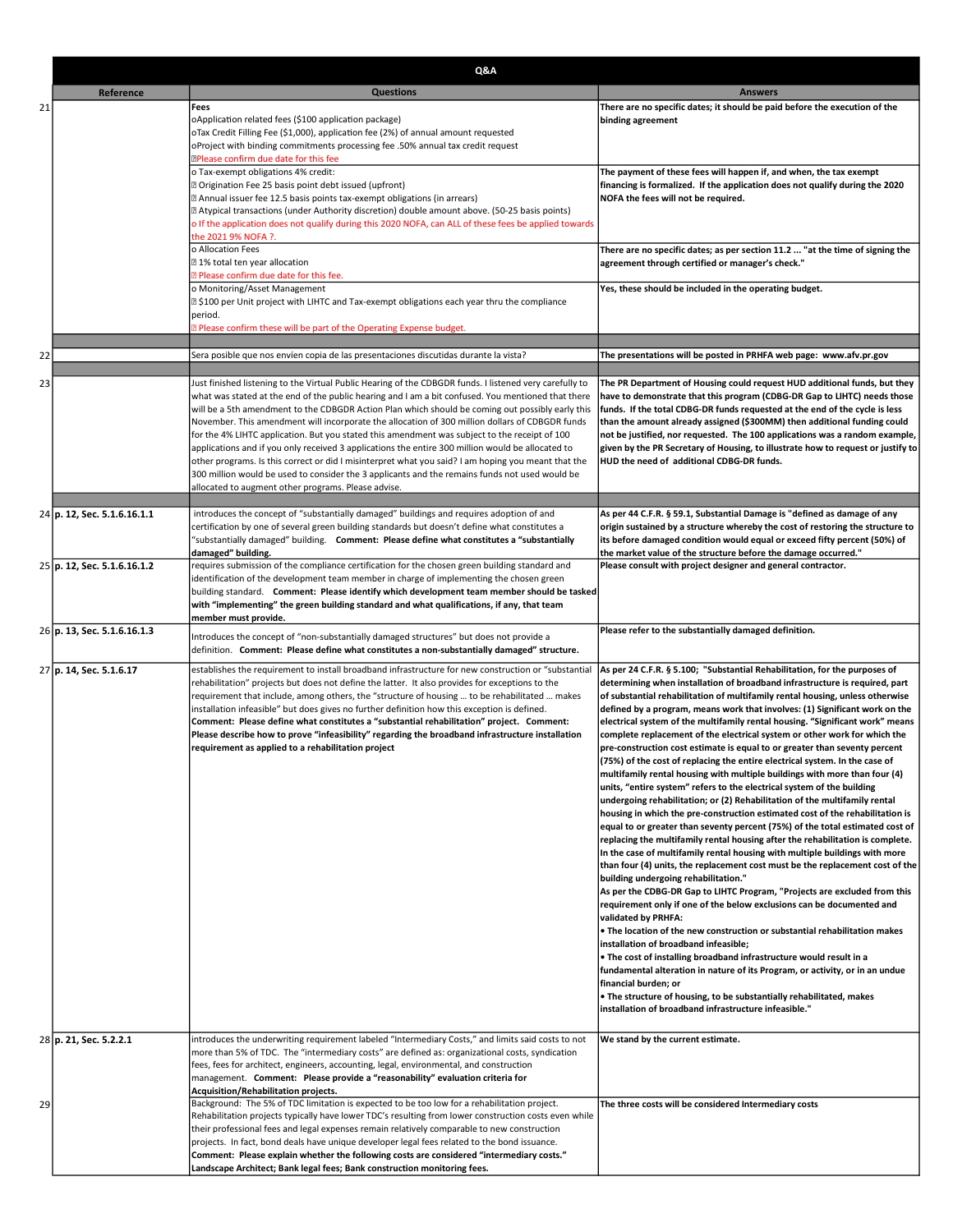|    |                             | Q&A                                                                                                                                                                                                                                                                                                                                                                                                                                                                                                                                                                                                                                                                                                                                                                                                                                                                                        |                                                                                                                                                                                                                                                                                                                                                                                                                                                                                                                                                                                                                                                                                                                                                                                                                                                                                                                                                                                                                                                                                                                                                                                                                                                                                                                                                                                                                                                                                                                                                                                                                                                                                                                                                                                                                                                                                                                                                                            |
|----|-----------------------------|--------------------------------------------------------------------------------------------------------------------------------------------------------------------------------------------------------------------------------------------------------------------------------------------------------------------------------------------------------------------------------------------------------------------------------------------------------------------------------------------------------------------------------------------------------------------------------------------------------------------------------------------------------------------------------------------------------------------------------------------------------------------------------------------------------------------------------------------------------------------------------------------|----------------------------------------------------------------------------------------------------------------------------------------------------------------------------------------------------------------------------------------------------------------------------------------------------------------------------------------------------------------------------------------------------------------------------------------------------------------------------------------------------------------------------------------------------------------------------------------------------------------------------------------------------------------------------------------------------------------------------------------------------------------------------------------------------------------------------------------------------------------------------------------------------------------------------------------------------------------------------------------------------------------------------------------------------------------------------------------------------------------------------------------------------------------------------------------------------------------------------------------------------------------------------------------------------------------------------------------------------------------------------------------------------------------------------------------------------------------------------------------------------------------------------------------------------------------------------------------------------------------------------------------------------------------------------------------------------------------------------------------------------------------------------------------------------------------------------------------------------------------------------------------------------------------------------------------------------------------------------|
|    | Reference                   | <b>Questions</b>                                                                                                                                                                                                                                                                                                                                                                                                                                                                                                                                                                                                                                                                                                                                                                                                                                                                           | <b>Answers</b>                                                                                                                                                                                                                                                                                                                                                                                                                                                                                                                                                                                                                                                                                                                                                                                                                                                                                                                                                                                                                                                                                                                                                                                                                                                                                                                                                                                                                                                                                                                                                                                                                                                                                                                                                                                                                                                                                                                                                             |
| 21 |                             | Fees<br>oApplication related fees (\$100 application package)<br>oTax Credit Filling Fee (\$1,000), application fee (2%) of annual amount requested<br>oProject with binding commitments processing fee .50% annual tax credit request<br><b>EPlease confirm due date for this fee</b><br>o Tax-exempt obligations 4% credit:<br><b>Z Origination Fee 25 basis point debt issued (upfront)</b><br>2 Annual issuer fee 12.5 basis points tax-exempt obligations (in arrears)                                                                                                                                                                                                                                                                                                                                                                                                                | There are no specific dates; it should be paid before the execution of the<br>binding agreement<br>The payment of these fees will happen if, and when, the tax exempt<br>financing is formalized. If the application does not qualify during the 2020<br>NOFA the fees will not be required.                                                                                                                                                                                                                                                                                                                                                                                                                                                                                                                                                                                                                                                                                                                                                                                                                                                                                                                                                                                                                                                                                                                                                                                                                                                                                                                                                                                                                                                                                                                                                                                                                                                                               |
|    |                             | [2] Atypical transactions (under Authority discretion) double amount above. (50-25 basis points)<br>o If the application does not qualify during this 2020 NOFA, can ALL of these fees be applied towards<br>the 2021 9% NOFA ?.<br>o Allocation Fees                                                                                                                                                                                                                                                                                                                                                                                                                                                                                                                                                                                                                                      | There are no specific dates; as per section 11.2  "at the time of signing the                                                                                                                                                                                                                                                                                                                                                                                                                                                                                                                                                                                                                                                                                                                                                                                                                                                                                                                                                                                                                                                                                                                                                                                                                                                                                                                                                                                                                                                                                                                                                                                                                                                                                                                                                                                                                                                                                              |
|    |                             | 21% total ten year allocation<br>a Please confirm due date for this fee.<br>o Monitoring/Asset Management                                                                                                                                                                                                                                                                                                                                                                                                                                                                                                                                                                                                                                                                                                                                                                                  | agreement through certified or manager's check."<br>Yes, these should be included in the operating budget.                                                                                                                                                                                                                                                                                                                                                                                                                                                                                                                                                                                                                                                                                                                                                                                                                                                                                                                                                                                                                                                                                                                                                                                                                                                                                                                                                                                                                                                                                                                                                                                                                                                                                                                                                                                                                                                                 |
|    |                             | 2 \$100 per Unit project with LIHTC and Tax-exempt obligations each year thru the compliance<br>period.<br>Please confirm these will be part of the Operating Expense budget.                                                                                                                                                                                                                                                                                                                                                                                                                                                                                                                                                                                                                                                                                                              |                                                                                                                                                                                                                                                                                                                                                                                                                                                                                                                                                                                                                                                                                                                                                                                                                                                                                                                                                                                                                                                                                                                                                                                                                                                                                                                                                                                                                                                                                                                                                                                                                                                                                                                                                                                                                                                                                                                                                                            |
| 22 |                             | Sera posible que nos envíen copia de las presentaciones discutidas durante la vista?                                                                                                                                                                                                                                                                                                                                                                                                                                                                                                                                                                                                                                                                                                                                                                                                       | The presentations will be posted in PRHFA web page: www.afv.pr.gov                                                                                                                                                                                                                                                                                                                                                                                                                                                                                                                                                                                                                                                                                                                                                                                                                                                                                                                                                                                                                                                                                                                                                                                                                                                                                                                                                                                                                                                                                                                                                                                                                                                                                                                                                                                                                                                                                                         |
|    |                             |                                                                                                                                                                                                                                                                                                                                                                                                                                                                                                                                                                                                                                                                                                                                                                                                                                                                                            |                                                                                                                                                                                                                                                                                                                                                                                                                                                                                                                                                                                                                                                                                                                                                                                                                                                                                                                                                                                                                                                                                                                                                                                                                                                                                                                                                                                                                                                                                                                                                                                                                                                                                                                                                                                                                                                                                                                                                                            |
| 23 |                             | Just finished listening to the Virtual Public Hearing of the CDBGDR funds. I listened very carefully to<br>what was stated at the end of the public hearing and I am a bit confused. You mentioned that there<br>will be a 5th amendment to the CDBGDR Action Plan which should be coming out possibly early this<br>November. This amendment will incorporate the allocation of 300 million dollars of CDBGDR funds<br>for the 4% LIHTC application. But you stated this amendment was subject to the receipt of 100<br>applications and if you only received 3 applications the entire 300 million would be allocated to<br>other programs. Is this correct or did I misinterpret what you said? I am hoping you meant that the<br>300 million would be used to consider the 3 applicants and the remains funds not used would be<br>allocated to augment other programs. Please advise. | The PR Department of Housing could request HUD additional funds, but they<br>have to demonstrate that this program (CDBG-DR Gap to LIHTC) needs those<br>funds. If the total CDBG-DR funds requested at the end of the cycle is less<br>than the amount already assigned (\$300MM) then additional funding could<br>not be justified, nor requested. The 100 applications was a random example,<br>given by the PR Secretary of Housing, to illustrate how to request or justify to<br>HUD the need of additional CDBG-DR funds.                                                                                                                                                                                                                                                                                                                                                                                                                                                                                                                                                                                                                                                                                                                                                                                                                                                                                                                                                                                                                                                                                                                                                                                                                                                                                                                                                                                                                                           |
|    | 24 p. 12, Sec. 5.1.6.16.1.1 | introduces the concept of "substantially damaged" buildings and requires adoption of and                                                                                                                                                                                                                                                                                                                                                                                                                                                                                                                                                                                                                                                                                                                                                                                                   | As per 44 C.F.R. § 59.1, Substantial Damage is "defined as damage of any                                                                                                                                                                                                                                                                                                                                                                                                                                                                                                                                                                                                                                                                                                                                                                                                                                                                                                                                                                                                                                                                                                                                                                                                                                                                                                                                                                                                                                                                                                                                                                                                                                                                                                                                                                                                                                                                                                   |
|    |                             | certification by one of several green building standards but doesn't define what constitutes a<br>"substantially damaged" building.  Comment: Please define what constitutes a "substantially                                                                                                                                                                                                                                                                                                                                                                                                                                                                                                                                                                                                                                                                                              | origin sustained by a structure whereby the cost of restoring the structure to<br>its before damaged condition would equal or exceed fifty percent (50%) of                                                                                                                                                                                                                                                                                                                                                                                                                                                                                                                                                                                                                                                                                                                                                                                                                                                                                                                                                                                                                                                                                                                                                                                                                                                                                                                                                                                                                                                                                                                                                                                                                                                                                                                                                                                                                |
|    | 25 p. 12, Sec. 5.1.6.16.1.2 | damaged" building.<br>requires submission of the compliance certification for the chosen green building standard and<br>identification of the development team member in charge of implementing the chosen green<br>building standard. Comment: Please identify which development team member should be tasked<br>with "implementing" the green building standard and what qualifications, if any, that team<br>member must provide.                                                                                                                                                                                                                                                                                                                                                                                                                                                       | the market value of the structure before the damage occurred."<br>Please consult with project designer and general contractor.                                                                                                                                                                                                                                                                                                                                                                                                                                                                                                                                                                                                                                                                                                                                                                                                                                                                                                                                                                                                                                                                                                                                                                                                                                                                                                                                                                                                                                                                                                                                                                                                                                                                                                                                                                                                                                             |
|    | 26 p. 13, Sec. 5.1.6.16.1.3 | Introduces the concept of "non-substantially damaged structures" but does not provide a<br>definition. Comment: Please define what constitutes a non-substantially damaged" structure.                                                                                                                                                                                                                                                                                                                                                                                                                                                                                                                                                                                                                                                                                                     | Please refer to the substantially damaged definition.                                                                                                                                                                                                                                                                                                                                                                                                                                                                                                                                                                                                                                                                                                                                                                                                                                                                                                                                                                                                                                                                                                                                                                                                                                                                                                                                                                                                                                                                                                                                                                                                                                                                                                                                                                                                                                                                                                                      |
|    | 27 p. 14, Sec. 5.1.6.17     | establishes the requirement to install broadband infrastructure for new construction or "substantial<br>rehabilitation" projects but does not define the latter. It also provides for exceptions to the<br>requirement that include, among others, the "structure of housing  to be rehabilitated  makes<br>installation infeasible" but does gives no further definition how this exception is defined.<br>Comment: Please define what constitutes a "substantial rehabilitation" project. Comment:<br>Please describe how to prove "infeasibility" regarding the broadband infrastructure installation<br>requirement as applied to a rehabilitation project                                                                                                                                                                                                                             | As per 24 C.F.R. § 5.100; "Substantial Rehabilitation, for the purposes of<br>determining when installation of broadband infrastructure is required, part<br>of substantial rehabilitation of multifamily rental housing, unless otherwise<br>defined by a program, means work that involves: (1) Significant work on the<br>electrical system of the multifamily rental housing. "Significant work" means<br>complete replacement of the electrical system or other work for which the<br>pre-construction cost estimate is equal to or greater than seventy percent<br>(75%) of the cost of replacing the entire electrical system. In the case of<br>multifamily rental housing with multiple buildings with more than four (4)<br>units, "entire system" refers to the electrical system of the building<br>undergoing rehabilitation; or (2) Rehabilitation of the multifamily rental<br>housing in which the pre-construction estimated cost of the rehabilitation is<br>equal to or greater than seventy percent (75%) of the total estimated cost of<br>replacing the multifamily rental housing after the rehabilitation is complete.<br>In the case of multifamily rental housing with multiple buildings with more<br>than four (4) units, the replacement cost must be the replacement cost of the<br>building undergoing rehabilitation."<br>As per the CDBG-DR Gap to LIHTC Program, "Projects are excluded from this<br>requirement only if one of the below exclusions can be documented and<br>validated by PRHFA:<br>. The location of the new construction or substantial rehabilitation makes<br>installation of broadband infeasible;<br>. The cost of installing broadband infrastructure would result in a<br>fundamental alteration in nature of its Program, or activity, or in an undue<br>financial burden; or<br>. The structure of housing, to be substantially rehabilitated, makes<br>installation of broadband infrastructure infeasible." |
|    | 28 p. 21, Sec. 5.2.2.1      | introduces the underwriting requirement labeled "Intermediary Costs," and limits said costs to not<br>more than 5% of TDC. The "intermediary costs" are defined as: organizational costs, syndication<br>fees, fees for architect, engineers, accounting, legal, environmental, and construction<br>management. Comment: Please provide a "reasonability" evaluation criteria for<br>Acquisition/Rehabilitation projects.                                                                                                                                                                                                                                                                                                                                                                                                                                                                  | We stand by the current estimate.                                                                                                                                                                                                                                                                                                                                                                                                                                                                                                                                                                                                                                                                                                                                                                                                                                                                                                                                                                                                                                                                                                                                                                                                                                                                                                                                                                                                                                                                                                                                                                                                                                                                                                                                                                                                                                                                                                                                          |
| 29 |                             | Background: The 5% of TDC limitation is expected to be too low for a rehabilitation project.<br>Rehabilitation projects typically have lower TDC's resulting from lower construction costs even while<br>their professional fees and legal expenses remain relatively comparable to new construction<br>projects. In fact, bond deals have unique developer legal fees related to the bond issuance.<br>Comment: Please explain whether the following costs are considered "intermediary costs."<br>Landscape Architect; Bank legal fees; Bank construction monitoring fees.                                                                                                                                                                                                                                                                                                               | The three costs will be considered Intermediary costs                                                                                                                                                                                                                                                                                                                                                                                                                                                                                                                                                                                                                                                                                                                                                                                                                                                                                                                                                                                                                                                                                                                                                                                                                                                                                                                                                                                                                                                                                                                                                                                                                                                                                                                                                                                                                                                                                                                      |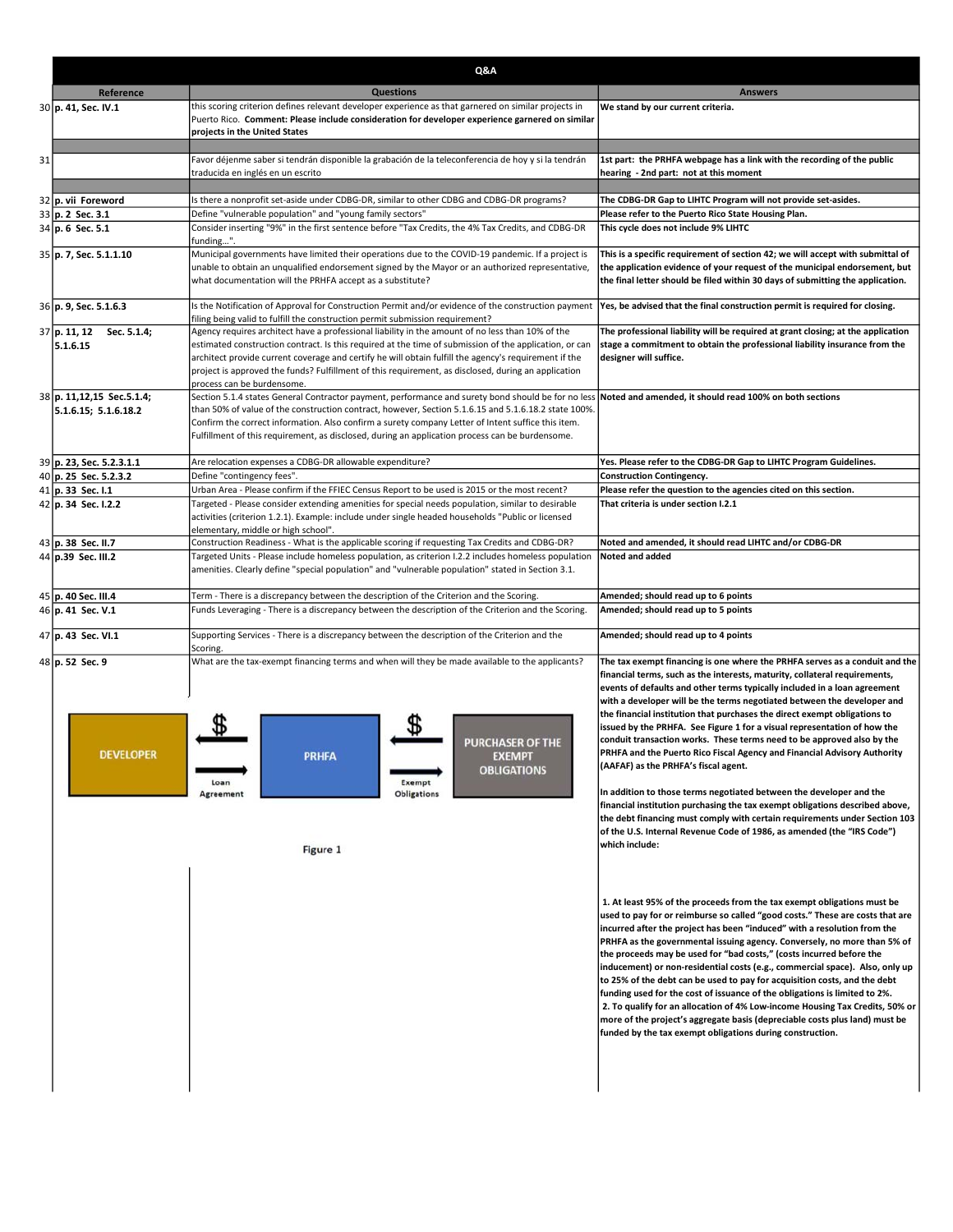|    |                                                   | Q&A                                                                                                                                                                                                                                                                                                                                                                                                                                                      |                                                                                                                                                                                                                                                                                                                                                                                                                                                                                                                                                                                                                                                                                                                                                                                                                                                                   |  |
|----|---------------------------------------------------|----------------------------------------------------------------------------------------------------------------------------------------------------------------------------------------------------------------------------------------------------------------------------------------------------------------------------------------------------------------------------------------------------------------------------------------------------------|-------------------------------------------------------------------------------------------------------------------------------------------------------------------------------------------------------------------------------------------------------------------------------------------------------------------------------------------------------------------------------------------------------------------------------------------------------------------------------------------------------------------------------------------------------------------------------------------------------------------------------------------------------------------------------------------------------------------------------------------------------------------------------------------------------------------------------------------------------------------|--|
|    | Reference                                         | <b>Questions</b>                                                                                                                                                                                                                                                                                                                                                                                                                                         | <b>Answers</b>                                                                                                                                                                                                                                                                                                                                                                                                                                                                                                                                                                                                                                                                                                                                                                                                                                                    |  |
|    | 30 p. 41, Sec. IV.1                               | this scoring criterion defines relevant developer experience as that garnered on similar projects in<br>Puerto Rico. Comment: Please include consideration for developer experience garnered on similar<br>projects in the United States                                                                                                                                                                                                                 | We stand by our current criteria.                                                                                                                                                                                                                                                                                                                                                                                                                                                                                                                                                                                                                                                                                                                                                                                                                                 |  |
| 31 |                                                   | Favor déjenme saber si tendrán disponible la grabación de la teleconferencia de hoy y si la tendrán<br>traducida en inglés en un escrito                                                                                                                                                                                                                                                                                                                 | 1st part: the PRHFA webpage has a link with the recording of the public<br>hearing - 2nd part: not at this moment                                                                                                                                                                                                                                                                                                                                                                                                                                                                                                                                                                                                                                                                                                                                                 |  |
|    |                                                   | Is there a nonprofit set-aside under CDBG-DR, similar to other CDBG and CDBG-DR programs?                                                                                                                                                                                                                                                                                                                                                                | The CDBG-DR Gap to LIHTC Program will not provide set-asides.                                                                                                                                                                                                                                                                                                                                                                                                                                                                                                                                                                                                                                                                                                                                                                                                     |  |
|    | 32 p. vii Foreword<br>33 p. 2 Sec. 3.1            | Define "vulnerable population" and "young family sectors"                                                                                                                                                                                                                                                                                                                                                                                                | Please refer to the Puerto Rico State Housing Plan.                                                                                                                                                                                                                                                                                                                                                                                                                                                                                                                                                                                                                                                                                                                                                                                                               |  |
|    | 34 p. 6 Sec. 5.1                                  | Consider inserting "9%" in the first sentence before "Tax Credits, the 4% Tax Credits, and CDBG-DR<br>funding".                                                                                                                                                                                                                                                                                                                                          | This cycle does not include 9% LIHTC                                                                                                                                                                                                                                                                                                                                                                                                                                                                                                                                                                                                                                                                                                                                                                                                                              |  |
|    | 35 p. 7, Sec. 5.1.1.10                            | Municipal governments have limited their operations due to the COVID-19 pandemic. If a project is<br>unable to obtain an unqualified endorsement signed by the Mayor or an authorized representative,<br>what documentation will the PRHFA accept as a substitute?                                                                                                                                                                                       | This is a specific requirement of section 42; we will accept with submittal of<br>the application evidence of your request of the municipal endorsement, but<br>the final letter should be filed within 30 days of submitting the application.                                                                                                                                                                                                                                                                                                                                                                                                                                                                                                                                                                                                                    |  |
|    | 36 p. 9, Sec. 5.1.6.3                             | Is the Notification of Approval for Construction Permit and/or evidence of the construction payment  Yes, be advised that the final construction permit is required for closing.<br>filing being valid to fulfill the construction permit submission requirement?                                                                                                                                                                                        |                                                                                                                                                                                                                                                                                                                                                                                                                                                                                                                                                                                                                                                                                                                                                                                                                                                                   |  |
|    | 37 p. 11, 12<br>Sec. 5.1.4;<br>5.1.6.15           | Agency requires architect have a professional liability in the amount of no less than 10% of the<br>estimated construction contract. Is this required at the time of submission of the application, or can<br>architect provide current coverage and certify he will obtain fulfill the agency's requirement if the<br>project is approved the funds? Fulfillment of this requirement, as disclosed, during an application<br>process can be burdensome. | The professional liability will be required at grant closing; at the application<br>stage a commitment to obtain the professional liability insurance from the<br>designer will suffice.                                                                                                                                                                                                                                                                                                                                                                                                                                                                                                                                                                                                                                                                          |  |
|    | 38 p. 11,12,15 Sec.5.1.4;<br>5.1.6.15; 5.1.6.18.2 | Section 5.1.4 states General Contractor payment, performance and surety bond should be for no less<br>than 50% of value of the construction contract, however, Section 5.1.6.15 and 5.1.6.18.2 state 100%.<br>Confirm the correct information. Also confirm a surety company Letter of Intent suffice this item.<br>Fulfillment of this requirement, as disclosed, during an application process can be burdensome.                                      | Noted and amended, it should read 100% on both sections                                                                                                                                                                                                                                                                                                                                                                                                                                                                                                                                                                                                                                                                                                                                                                                                           |  |
|    | 39 p. 23, Sec. 5.2.3.1.1                          | Are relocation expenses a CDBG-DR allowable expenditure?                                                                                                                                                                                                                                                                                                                                                                                                 | Yes. Please refer to the CDBG-DR Gap to LIHTC Program Guidelines.                                                                                                                                                                                                                                                                                                                                                                                                                                                                                                                                                                                                                                                                                                                                                                                                 |  |
|    | 40 p. 25 Sec. 5.2.3.2                             | Define "contingency fees".                                                                                                                                                                                                                                                                                                                                                                                                                               | <b>Construction Contingency.</b>                                                                                                                                                                                                                                                                                                                                                                                                                                                                                                                                                                                                                                                                                                                                                                                                                                  |  |
|    | 41 p. 33 Sec. I.1                                 | Urban Area - Please confirm if the FFIEC Census Report to be used is 2015 or the most recent?                                                                                                                                                                                                                                                                                                                                                            | Please refer the question to the agencies cited on this section.<br>That criteria is under section I.2.1                                                                                                                                                                                                                                                                                                                                                                                                                                                                                                                                                                                                                                                                                                                                                          |  |
|    | 42 p. 34 Sec. I.2.2                               | Targeted - Please consider extending amenities for special needs population, similar to desirable<br>activities (criterion 1.2.1). Example: include under single headed households "Public or licensed<br>elementary, middle or high school".                                                                                                                                                                                                            |                                                                                                                                                                                                                                                                                                                                                                                                                                                                                                                                                                                                                                                                                                                                                                                                                                                                   |  |
|    | 43 p. 38 Sec. II.7                                | Construction Readiness - What is the applicable scoring if requesting Tax Credits and CDBG-DR?                                                                                                                                                                                                                                                                                                                                                           | Noted and amended, it should read LIHTC and/or CDBG-DR                                                                                                                                                                                                                                                                                                                                                                                                                                                                                                                                                                                                                                                                                                                                                                                                            |  |
|    | 44 p.39 Sec. III.2                                | Targeted Units - Please include homeless population, as criterion I.2.2 includes homeless population<br>amenities. Clearly define "special population" and "vulnerable population" stated in Section 3.1.                                                                                                                                                                                                                                                | Noted and added                                                                                                                                                                                                                                                                                                                                                                                                                                                                                                                                                                                                                                                                                                                                                                                                                                                   |  |
|    | 45 p. 40 Sec. III.4                               | Term - There is a discrepancy between the description of the Criterion and the Scoring.                                                                                                                                                                                                                                                                                                                                                                  | Amended; should read up to 6 points                                                                                                                                                                                                                                                                                                                                                                                                                                                                                                                                                                                                                                                                                                                                                                                                                               |  |
|    | 46 p. 41 Sec. V.1                                 | Funds Leveraging - There is a discrepancy between the description of the Criterion and the Scoring.                                                                                                                                                                                                                                                                                                                                                      | Amended; should read up to 5 points                                                                                                                                                                                                                                                                                                                                                                                                                                                                                                                                                                                                                                                                                                                                                                                                                               |  |
|    | 47 p. 43 Sec. VI.1                                | Supporting Services - There is a discrepancy between the description of the Criterion and the<br>Scoring.                                                                                                                                                                                                                                                                                                                                                | Amended; should read up to 4 points                                                                                                                                                                                                                                                                                                                                                                                                                                                                                                                                                                                                                                                                                                                                                                                                                               |  |
|    | 48 p. 52 Sec. 9                                   | What are the tax-exempt financing terms and when will they be made available to the applicants?                                                                                                                                                                                                                                                                                                                                                          | The tax exempt financing is one where the PRHFA serves as a conduit and the<br>financial terms, such as the interests, maturity, collateral requirements,<br>events of defaults and other terms typically included in a loan agreement<br>with a developer will be the terms negotiated between the developer and<br>the financial institution that purchases the direct exempt obligations to<br>issued by the PRHFA. See Figure 1 for a visual representation of how the                                                                                                                                                                                                                                                                                                                                                                                        |  |
|    | <b>DEVELOPER</b>                                  | <b>PURCHASER OF THE</b><br><b>PRHFA</b><br><b>EXEMPT</b><br><b>OBLIGATIONS</b><br>Exempt<br>Loan                                                                                                                                                                                                                                                                                                                                                         | conduit transaction works. These terms need to be approved also by the<br>PRHFA and the Puerto Rico Fiscal Agency and Financial Advisory Authority<br>(AAFAF) as the PRHFA's fiscal agent.<br>In addition to those terms negotiated between the developer and the                                                                                                                                                                                                                                                                                                                                                                                                                                                                                                                                                                                                 |  |
|    |                                                   | <b>Obligations</b><br>Agreement<br>Figure 1                                                                                                                                                                                                                                                                                                                                                                                                              | financial institution purchasing the tax exempt obligations described above,<br>the debt financing must comply with certain requirements under Section 103<br>of the U.S. Internal Revenue Code of 1986, as amended (the "IRS Code")<br> which include:                                                                                                                                                                                                                                                                                                                                                                                                                                                                                                                                                                                                           |  |
|    |                                                   |                                                                                                                                                                                                                                                                                                                                                                                                                                                          | 1. At least 95% of the proceeds from the tax exempt obligations must be<br>used to pay for or reimburse so called "good costs." These are costs that are<br>incurred after the project has been "induced" with a resolution from the<br>PRHFA as the governmental issuing agency. Conversely, no more than 5% of<br>the proceeds may be used for "bad costs," (costs incurred before the<br> inducement) or non-residential costs (e.g., commercial space). Also, only up<br>to 25% of the debt can be used to pay for acquisition costs, and the debt<br> funding used for the cost of issuance of the obligations is limited to 2%.<br>2. To qualify for an allocation of 4% Low-income Housing Tax Credits, 50% or<br>more of the project's aggregate basis (depreciable costs plus land) must be<br>funded by the tax exempt obligations during construction. |  |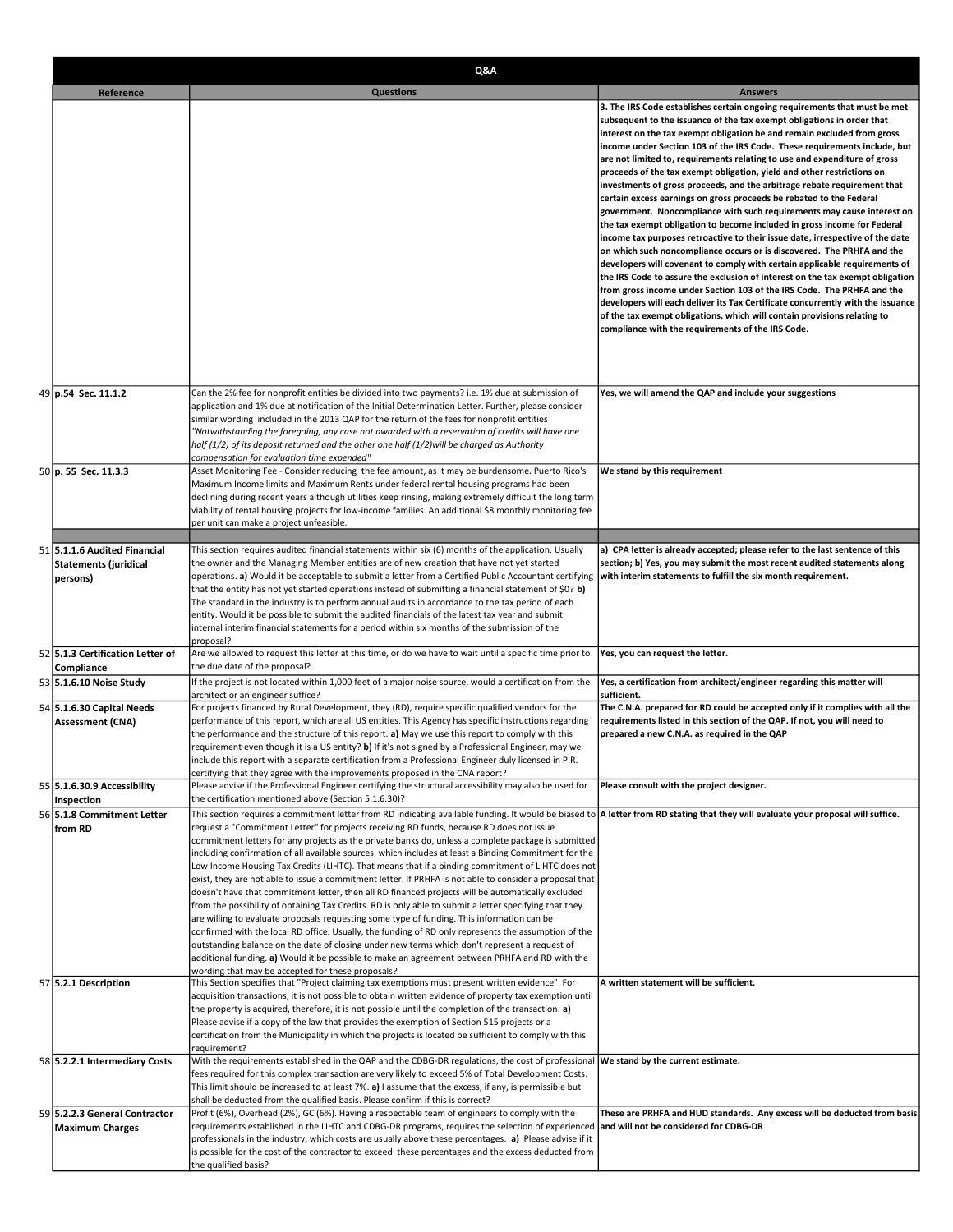|                                       | Reference | <b>Questions</b>                                                                                                                                                                                                  | <b>Answers</b>                                                                                                                                          |
|---------------------------------------|-----------|-------------------------------------------------------------------------------------------------------------------------------------------------------------------------------------------------------------------|---------------------------------------------------------------------------------------------------------------------------------------------------------|
|                                       |           |                                                                                                                                                                                                                   |                                                                                                                                                         |
|                                       |           |                                                                                                                                                                                                                   | 3. The IRS Code establishes certain ongoing requirements that must be met<br>subsequent to the issuance of the tax exempt obligations in order that     |
|                                       |           |                                                                                                                                                                                                                   | interest on the tax exempt obligation be and remain excluded from gross                                                                                 |
|                                       |           |                                                                                                                                                                                                                   | income under Section 103 of the IRS Code. These requirements include, but<br>are not limited to, requirements relating to use and expenditure of gross  |
|                                       |           |                                                                                                                                                                                                                   | proceeds of the tax exempt obligation, yield and other restrictions on                                                                                  |
|                                       |           |                                                                                                                                                                                                                   | investments of gross proceeds, and the arbitrage rebate requirement that<br>certain excess earnings on gross proceeds be rebated to the Federal         |
|                                       |           |                                                                                                                                                                                                                   | government. Noncompliance with such requirements may cause interest on                                                                                  |
|                                       |           |                                                                                                                                                                                                                   | the tax exempt obligation to become included in gross income for Federal                                                                                |
|                                       |           |                                                                                                                                                                                                                   | income tax purposes retroactive to their issue date, irrespective of the date<br>on which such noncompliance occurs or is discovered. The PRHFA and the |
|                                       |           |                                                                                                                                                                                                                   | developers will covenant to comply with certain applicable requirements of                                                                              |
|                                       |           |                                                                                                                                                                                                                   | the IRS Code to assure the exclusion of interest on the tax exempt obligation<br>from gross income under Section 103 of the IRS Code. The PRHFA and the |
|                                       |           |                                                                                                                                                                                                                   | developers will each deliver its Tax Certificate concurrently with the issuance                                                                         |
|                                       |           |                                                                                                                                                                                                                   | of the tax exempt obligations, which will contain provisions relating to                                                                                |
|                                       |           |                                                                                                                                                                                                                   | compliance with the requirements of the IRS Code.                                                                                                       |
|                                       |           |                                                                                                                                                                                                                   |                                                                                                                                                         |
|                                       |           |                                                                                                                                                                                                                   |                                                                                                                                                         |
| 49 p.54 Sec. 11.1.2                   |           | Can the 2% fee for nonprofit entities be divided into two payments? i.e. 1% due at submission of                                                                                                                  | Yes, we will amend the QAP and include your suggestions                                                                                                 |
|                                       |           | application and 1% due at notification of the Initial Determination Letter. Further, please consider<br>similar wording included in the 2013 QAP for the return of the fees for nonprofit entities                |                                                                                                                                                         |
|                                       |           | "Notwithstanding the foregoing, any case not awarded with a reservation of credits will have one                                                                                                                  |                                                                                                                                                         |
|                                       |           | half (1/2) of its deposit returned and the other one half (1/2)will be charged as Authority<br>compensation for evaluation time expended"                                                                         |                                                                                                                                                         |
| 50 p. 55 Sec. 11.3.3                  |           | Asset Monitoring Fee - Consider reducing the fee amount, as it may be burdensome. Puerto Rico's                                                                                                                   | We stand by this requirement                                                                                                                            |
|                                       |           | Maximum Income limits and Maximum Rents under federal rental housing programs had been                                                                                                                            |                                                                                                                                                         |
|                                       |           | declining during recent years although utilities keep rinsing, making extremely difficult the long term<br>viability of rental housing projects for low-income families. An additional \$8 monthly monitoring fee |                                                                                                                                                         |
|                                       |           | per unit can make a project unfeasible.                                                                                                                                                                           |                                                                                                                                                         |
| 51 5.1.1.6 Audited Financial          |           | This section requires audited financial statements within six (6) months of the application. Usually                                                                                                              | a) CPA letter is already accepted; please refer to the last sentence of this                                                                            |
| <b>Statements (juridical</b>          |           | the owner and the Managing Member entities are of new creation that have not yet started                                                                                                                          | section; b) Yes, you may submit the most recent audited statements along                                                                                |
| persons)                              |           | operations. a) Would it be acceptable to submit a letter from a Certified Public Accountant certifying<br>(6 \$00) that the entity has not yet started operations instead of submitting a financial statement of  | with interim statements to fulfill the six month requirement.                                                                                           |
|                                       |           | The standard in the industry is to perform annual audits in accordance to the tax period of each                                                                                                                  |                                                                                                                                                         |
|                                       |           | entity. Would it be possible to submit the audited financials of the latest tax year and submit                                                                                                                   |                                                                                                                                                         |
|                                       |           | internal interim financial statements for a period within six months of the submission of the<br>proposal?                                                                                                        |                                                                                                                                                         |
| 52 5.1.3 Certification Letter of      |           | Are we allowed to request this letter at this time, or do we have to wait until a specific time prior to<br>the due date of the proposal?                                                                         | Yes, you can request the letter.                                                                                                                        |
| Compliance<br>53 5.1.6.10 Noise Study |           | If the project is not located within 1,000 feet of a major noise source, would a certification from the                                                                                                           | Yes, a certification from architect/engineer regarding this matter will                                                                                 |
| 54 5.1.6.30 Capital Needs             |           | architect or an engineer suffice?<br>For projects financed by Rural Development, they (RD), require specific qualified vendors for the                                                                            | sufficient.<br>The C.N.A. prepared for RD could be accepted only if it complies with all the                                                            |
| <b>Assessment (CNA)</b>               |           | performance of this report, which are all US entities. This Agency has specific instructions regarding                                                                                                            | requirements listed in this section of the QAP. If not, you will need to                                                                                |
|                                       |           | the performance and the structure of this report. a) May we use this report to comply with this<br>requirement even though it is a US entity? b) If it's not signed by a Professional Engineer, may we            | prepared a new C.N.A. as required in the QAP                                                                                                            |
|                                       |           | include this report with a separate certification from a Professional Engineer duly licensed in P.R.                                                                                                              |                                                                                                                                                         |
| 55 5.1.6.30.9 Accessibility           |           | certifying that they agree with the improvements proposed in the CNA report?<br>Please advise if the Professional Engineer certifying the structural accessibility may also be used for                           | Please consult with the project designer.                                                                                                               |
| Inspection                            |           | the certification mentioned above (Section 5.1.6.30)?                                                                                                                                                             |                                                                                                                                                         |
| 56 5.1.8 Commitment Letter            |           | This section requires a commitment letter from RD indicating available funding. It would be biased to  A letter from RD stating that they will evaluate your proposal will suffice.                               |                                                                                                                                                         |
| from RD                               |           | request a "Commitment Letter" for projects receiving RD funds, because RD does not issue<br>commitment letters for any projects as the private banks do, unless a complete package is submitted                   |                                                                                                                                                         |
|                                       |           | including confirmation of all available sources, which includes at least a Binding Commitment for the                                                                                                             |                                                                                                                                                         |
|                                       |           | Low Income Housing Tax Credits (LIHTC). That means that if a binding commitment of LIHTC does not<br>exist, they are not able to issue a commitment letter. If PRHFA is not able to consider a proposal that      |                                                                                                                                                         |
|                                       |           | doesn't have that commitment letter, then all RD financed projects will be automatically excluded                                                                                                                 |                                                                                                                                                         |
|                                       |           | from the possibility of obtaining Tax Credits. RD is only able to submit a letter specifying that they                                                                                                            |                                                                                                                                                         |
|                                       |           | are willing to evaluate proposals requesting some type of funding. This information can be<br>confirmed with the local RD office. Usually, the funding of RD only represents the assumption of the                |                                                                                                                                                         |
|                                       |           | outstanding balance on the date of closing under new terms which don't represent a request of                                                                                                                     |                                                                                                                                                         |
|                                       |           | additional funding. a) Would it be possible to make an agreement between PRHFA and RD with the<br>wording that may be accepted for these proposals?                                                               |                                                                                                                                                         |
| 57 5.2.1 Description                  |           | This Section specifies that "Project claiming tax exemptions must present written evidence". For                                                                                                                  | A written statement will be sufficient.                                                                                                                 |
|                                       |           | acquisition transactions, it is not possible to obtain written evidence of property tax exemption until<br>the property is acquired, therefore, it is not possible until the completion of the transaction. a)    |                                                                                                                                                         |
|                                       |           | Please advise if a copy of the law that provides the exemption of Section 515 projects or a                                                                                                                       |                                                                                                                                                         |
|                                       |           | certification from the Municipality in which the projects is located be sufficient to comply with this<br>requirement?                                                                                            |                                                                                                                                                         |
| 58 5.2.2.1 Intermediary Costs         |           | With the requirements established in the QAP and the CDBG-DR regulations, the cost of professional                                                                                                                | We stand by the current estimate.                                                                                                                       |
|                                       |           | fees required for this complex transaction are very likely to exceed 5% of Total Development Costs.<br>This limit should be increased to at least 7%. a) I assume that the excess, if any, is permissible but     |                                                                                                                                                         |
|                                       |           | shall be deducted from the qualified basis. Please confirm if this is correct?                                                                                                                                    |                                                                                                                                                         |
| 59 5.2.2.3 General Contractor         |           | Profit (6%), Overhead (2%), GC (6%). Having a respectable team of engineers to comply with the<br>requirements established in the LIHTC and CDBG-DR programs, requires the selection of experienced               | These are PRHFA and HUD standards. Any excess will be deducted from basis<br>and will not be considered for CDBG-DR                                     |
|                                       |           |                                                                                                                                                                                                                   |                                                                                                                                                         |
| <b>Maximum Charges</b>                |           | professionals in the industry, which costs are usually above these percentages. a) Please advise if it                                                                                                            |                                                                                                                                                         |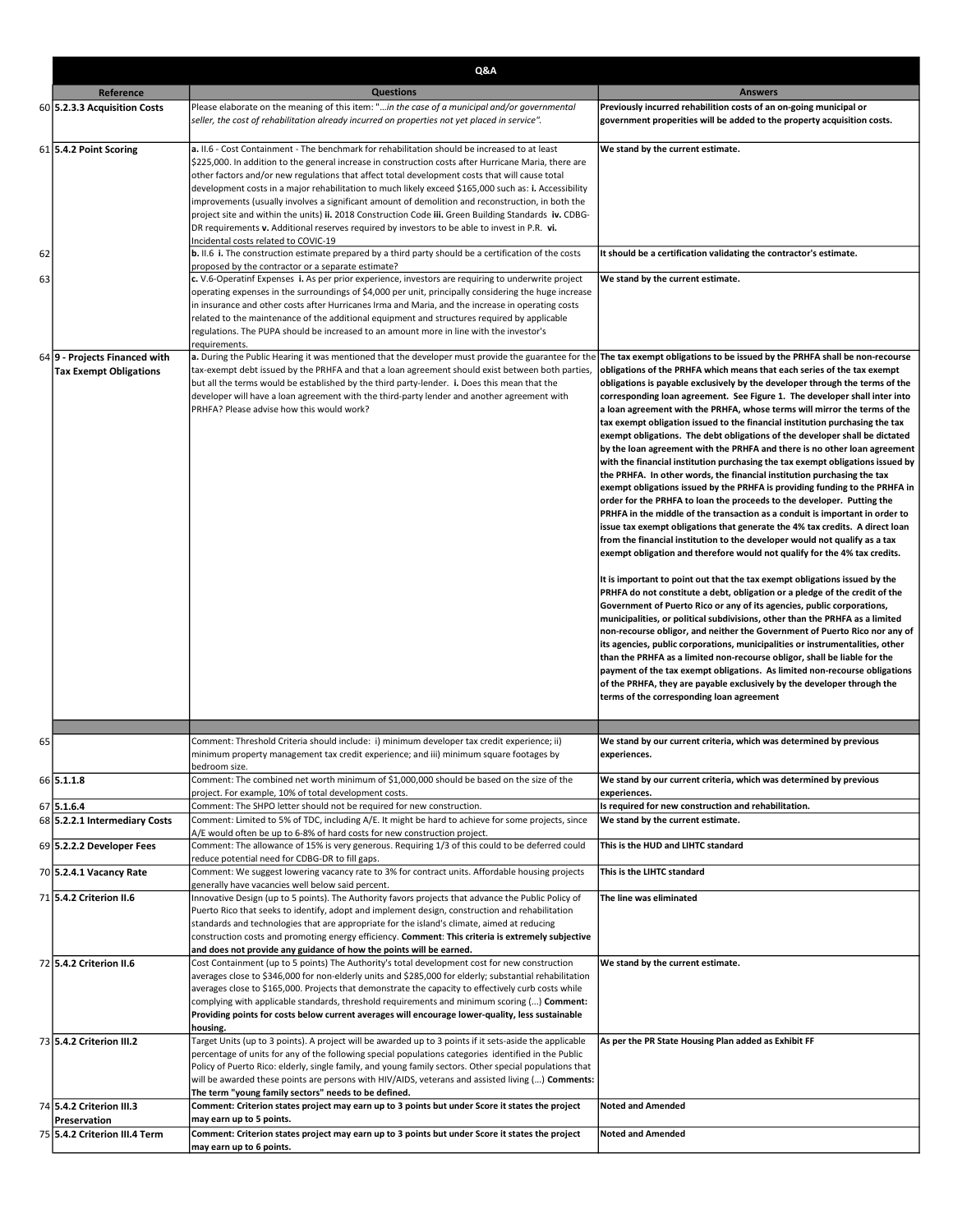|    | Q&A                           |                                                                                                                                                                                                        |                                                                                                                                                             |
|----|-------------------------------|--------------------------------------------------------------------------------------------------------------------------------------------------------------------------------------------------------|-------------------------------------------------------------------------------------------------------------------------------------------------------------|
|    | Reference                     | <b>Questions</b>                                                                                                                                                                                       | <b>Answers</b>                                                                                                                                              |
|    | 60 5.2.3.3 Acquisition Costs  | Please elaborate on the meaning of this item: "in the case of a municipal and/or governmental                                                                                                          | Previously incurred rehabilition costs of an on-going municipal or                                                                                          |
|    |                               | seller, the cost of rehabilitation already incurred on properties not yet placed in service".                                                                                                          | government properities will be added to the property acquisition costs.                                                                                     |
|    |                               |                                                                                                                                                                                                        |                                                                                                                                                             |
|    | 61 5.4.2 Point Scoring        | a. II.6 - Cost Containment - The benchmark for rehabilitation should be increased to at least                                                                                                          | We stand by the current estimate.                                                                                                                           |
|    |                               | \$225,000. In addition to the general increase in construction costs after Hurricane Maria, there are                                                                                                  |                                                                                                                                                             |
|    |                               | other factors and/or new regulations that affect total development costs that will cause total                                                                                                         |                                                                                                                                                             |
|    |                               | development costs in a major rehabilitation to much likely exceed \$165,000 such as: i. Accessibility                                                                                                  |                                                                                                                                                             |
|    |                               | improvements (usually involves a significant amount of demolition and reconstruction, in both the                                                                                                      |                                                                                                                                                             |
|    |                               | project site and within the units) ii. 2018 Construction Code iii. Green Building Standards iv. CDBG-<br>DR requirements v. Additional reserves required by investors to be able to invest in P.R. vi. |                                                                                                                                                             |
|    |                               | Incidental costs related to COVIC-19                                                                                                                                                                   |                                                                                                                                                             |
| 62 |                               | <b>b.</b> II.6 i. The construction estimate prepared by a third party should be a certification of the costs                                                                                           | It should be a certification validating the contractor's estimate.                                                                                          |
|    |                               | proposed by the contractor or a separate estimate?                                                                                                                                                     |                                                                                                                                                             |
| 63 |                               | c. V.6-Operatinf Expenses i. As per prior experience, investors are requiring to underwrite project                                                                                                    | We stand by the current estimate.                                                                                                                           |
|    |                               | operating expenses in the surroundings of \$4,000 per unit, principally considering the huge increase                                                                                                  |                                                                                                                                                             |
|    |                               | in insurance and other costs after Hurricanes Irma and Maria, and the increase in operating costs                                                                                                      |                                                                                                                                                             |
|    |                               | related to the maintenance of the additional equipment and structures required by applicable                                                                                                           |                                                                                                                                                             |
|    |                               | regulations. The PUPA should be increased to an amount more in line with the investor's                                                                                                                |                                                                                                                                                             |
|    | 64 9 - Projects Financed with | requirements.<br>a. During the Public Hearing it was mentioned that the developer must provide the guarantee for the                                                                                   | The tax exempt obligations to be issued by the PRHFA shall be non-recourse                                                                                  |
|    | <b>Tax Exempt Obligations</b> | tax-exempt debt issued by the PRHFA and that a loan agreement should exist between both parties,                                                                                                       | obligations of the PRHFA which means that each series of the tax exempt                                                                                     |
|    |                               | but all the terms would be established by the third party-lender. i. Does this mean that the                                                                                                           | obligations is payable exclusively by the developer through the terms of the                                                                                |
|    |                               | developer will have a loan agreement with the third-party lender and another agreement with                                                                                                            | corresponding loan agreement. See Figure 1. The developer shall inter into                                                                                  |
|    |                               | PRHFA? Please advise how this would work?                                                                                                                                                              | a loan agreement with the PRHFA, whose terms will mirror the terms of the                                                                                   |
|    |                               |                                                                                                                                                                                                        | tax exempt obligation issued to the financial institution purchasing the tax                                                                                |
|    |                               |                                                                                                                                                                                                        | exempt obligations. The debt obligations of the developer shall be dictated                                                                                 |
|    |                               |                                                                                                                                                                                                        | by the loan agreement with the PRHFA and there is no other loan agreement                                                                                   |
|    |                               |                                                                                                                                                                                                        | with the financial institution purchasing the tax exempt obligations issued by                                                                              |
|    |                               |                                                                                                                                                                                                        | the PRHFA. In other words, the financial institution purchasing the tax                                                                                     |
|    |                               |                                                                                                                                                                                                        | exempt obligations issued by the PRHFA is providing funding to the PRHFA in                                                                                 |
|    |                               |                                                                                                                                                                                                        | order for the PRHFA to loan the proceeds to the developer. Putting the<br>PRHFA in the middle of the transaction as a conduit is important in order to      |
|    |                               |                                                                                                                                                                                                        | issue tax exempt obligations that generate the 4% tax credits. A direct loan                                                                                |
|    |                               |                                                                                                                                                                                                        | from the financial institution to the developer would not qualify as a tax                                                                                  |
|    |                               |                                                                                                                                                                                                        | exempt obligation and therefore would not qualify for the 4% tax credits.                                                                                   |
|    |                               |                                                                                                                                                                                                        |                                                                                                                                                             |
|    |                               |                                                                                                                                                                                                        | It is important to point out that the tax exempt obligations issued by the                                                                                  |
|    |                               |                                                                                                                                                                                                        | PRHFA do not constitute a debt, obligation or a pledge of the credit of the                                                                                 |
|    |                               |                                                                                                                                                                                                        | Government of Puerto Rico or any of its agencies, public corporations,                                                                                      |
|    |                               |                                                                                                                                                                                                        | municipalities, or political subdivisions, other than the PRHFA as a limited                                                                                |
|    |                               |                                                                                                                                                                                                        | non-recourse obligor, and neither the Government of Puerto Rico nor any of<br>its agencies, public corporations, municipalities or instrumentalities, other |
|    |                               |                                                                                                                                                                                                        | than the PRHFA as a limited non-recourse obligor, shall be liable for the                                                                                   |
|    |                               |                                                                                                                                                                                                        | payment of the tax exempt obligations. As limited non-recourse obligations                                                                                  |
|    |                               |                                                                                                                                                                                                        | of the PRHFA, they are payable exclusively by the developer through the                                                                                     |
|    |                               |                                                                                                                                                                                                        | terms of the corresponding loan agreement                                                                                                                   |
|    |                               |                                                                                                                                                                                                        |                                                                                                                                                             |
|    |                               |                                                                                                                                                                                                        |                                                                                                                                                             |
| 65 |                               | Comment: Threshold Criteria should include: i) minimum developer tax credit experience; ii)<br>minimum property management tax credit experience; and iii) minimum square footages by                  | We stand by our current criteria, which was determined by previous                                                                                          |
|    |                               | bedroom size.                                                                                                                                                                                          | experiences                                                                                                                                                 |
|    | 66 5.1.1.8                    | Comment: The combined net worth minimum of \$1,000,000 should be based on the size of the                                                                                                              | We stand by our current criteria, which was determined by previous                                                                                          |
|    |                               | project. For example, 10% of total development costs.                                                                                                                                                  | experiences.                                                                                                                                                |
|    | 67 5.1.6.4                    | Comment: The SHPO letter should not be required for new construction.                                                                                                                                  | Is required for new construction and rehabilitation.                                                                                                        |
|    | 68 5.2.2.1 Intermediary Costs | Comment: Limited to 5% of TDC, including A/E. It might be hard to achieve for some projects, since                                                                                                     | We stand by the current estimate.                                                                                                                           |
|    |                               | A/E would often be up to 6-8% of hard costs for new construction project.                                                                                                                              |                                                                                                                                                             |
|    | 69 5.2.2.2 Developer Fees     | Comment: The allowance of 15% is very generous. Requiring 1/3 of this could to be deferred could<br>reduce potential need for CDBG-DR to fill gaps.                                                    | This is the HUD and LIHTC standard                                                                                                                          |
|    | 70 5.2.4.1 Vacancy Rate       | Comment: We suggest lowering vacancy rate to 3% for contract units. Affordable housing projects                                                                                                        | This is the LIHTC standard                                                                                                                                  |
|    |                               | generally have vacancies well below said percent.                                                                                                                                                      |                                                                                                                                                             |
|    | 71 5.4.2 Criterion II.6       | Innovative Design (up to 5 points). The Authority favors projects that advance the Public Policy of                                                                                                    | The line was eliminated                                                                                                                                     |
|    |                               | Puerto Rico that seeks to identify, adopt and implement design, construction and rehabilitation                                                                                                        |                                                                                                                                                             |
|    |                               | standards and technologies that are appropriate for the island's climate, aimed at reducing                                                                                                            |                                                                                                                                                             |
|    |                               | construction costs and promoting energy efficiency. Comment: This criteria is extremely subjective<br>and does not provide any guidance of how the points will be earned.                              |                                                                                                                                                             |
|    | 72 5.4.2 Criterion II.6       | Cost Containment (up to 5 points) The Authority's total development cost for new construction                                                                                                          | We stand by the current estimate.                                                                                                                           |
|    |                               | averages close to \$346,000 for non-elderly units and \$285,000 for elderly; substantial rehabilitation                                                                                                |                                                                                                                                                             |
|    |                               | averages close to \$165,000. Projects that demonstrate the capacity to effectively curb costs while                                                                                                    |                                                                                                                                                             |
|    |                               | complying with applicable standards, threshold requirements and minimum scoring () Comment:                                                                                                            |                                                                                                                                                             |
|    |                               | Providing points for costs below current averages will encourage lower-quality, less sustainable                                                                                                       |                                                                                                                                                             |
|    |                               | housing.                                                                                                                                                                                               |                                                                                                                                                             |
|    | 73 5.4.2 Criterion III.2      | Target Units (up to 3 points). A project will be awarded up to 3 points if it sets-aside the applicable                                                                                                | As per the PR State Housing Plan added as Exhibit FF                                                                                                        |
|    |                               | percentage of units for any of the following special populations categories identified in the Public                                                                                                   |                                                                                                                                                             |
|    |                               | Policy of Puerto Rico: elderly, single family, and young family sectors. Other special populations that                                                                                                |                                                                                                                                                             |
|    |                               | will be awarded these points are persons with HIV/AIDS, veterans and assisted living () Comments:                                                                                                      |                                                                                                                                                             |
|    | 74 5.4.2 Criterion III.3      | The term "young family sectors" needs to be defined.<br>Comment: Criterion states project may earn up to 3 points but under Score it states the project                                                | <b>Noted and Amended</b>                                                                                                                                    |
|    | Preservation                  | may earn up to 5 points.                                                                                                                                                                               |                                                                                                                                                             |
|    | 75 5.4.2 Criterion III.4 Term | Comment: Criterion states project may earn up to 3 points but under Score it states the project                                                                                                        | <b>Noted and Amended</b>                                                                                                                                    |
|    |                               | may earn up to 6 points.                                                                                                                                                                               |                                                                                                                                                             |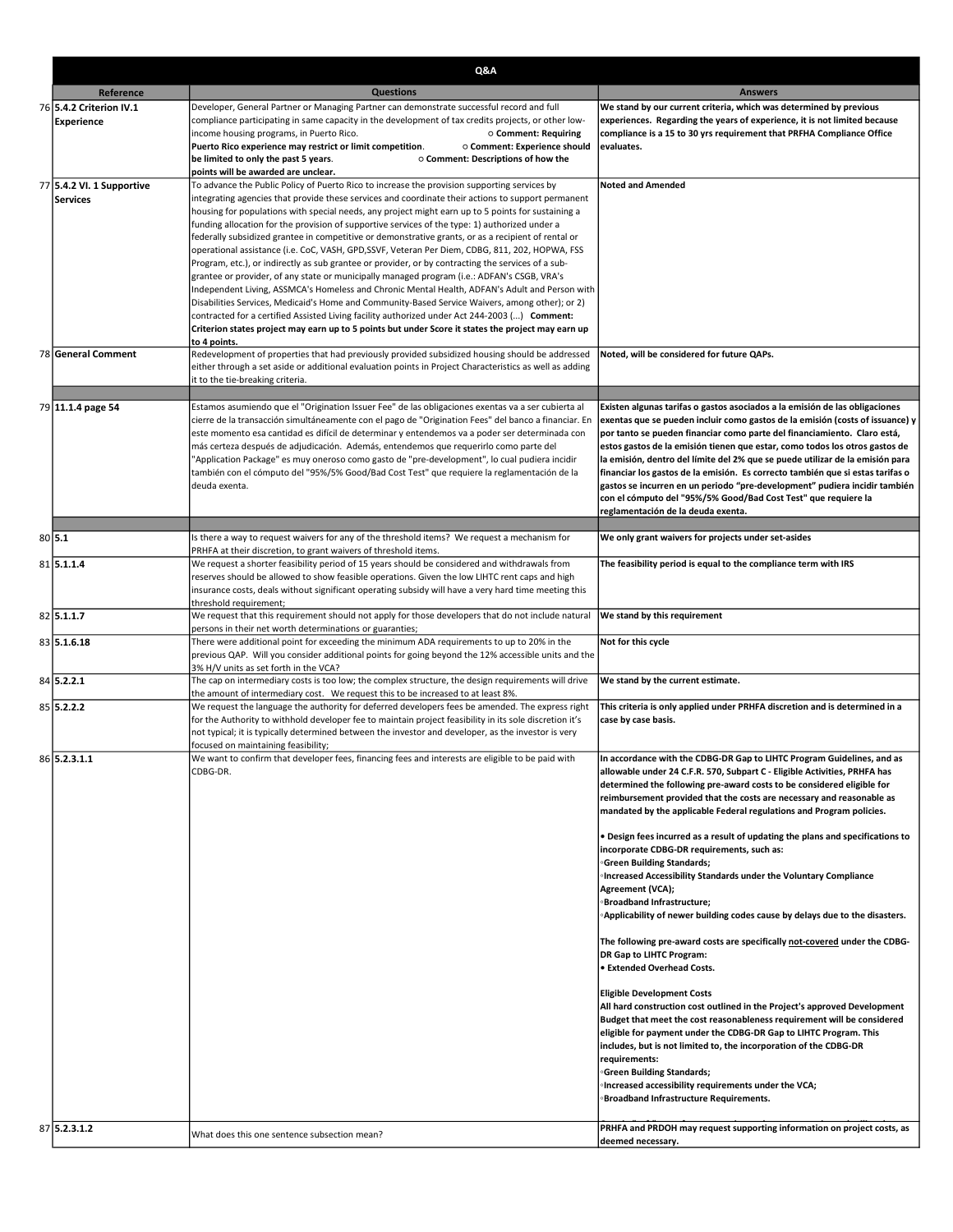|                           | Q&A                                                                                                                                                                                                    |                                                                                                                                                              |  |
|---------------------------|--------------------------------------------------------------------------------------------------------------------------------------------------------------------------------------------------------|--------------------------------------------------------------------------------------------------------------------------------------------------------------|--|
| Reference                 | <b>Questions</b>                                                                                                                                                                                       | <b>Answers</b>                                                                                                                                               |  |
| 76 5.4.2 Criterion IV.1   | Developer, General Partner or Managing Partner can demonstrate successful record and full                                                                                                              | We stand by our current criteria, which was determined by previous                                                                                           |  |
| <b>Experience</b>         | compliance participating in same capacity in the development of tax credits projects, or other low-                                                                                                    | experiences. Regarding the years of experience, it is not limited because                                                                                    |  |
|                           | income housing programs, in Puerto Rico.<br>○ Comment: Requiring<br>Puerto Rico experience may restrict or limit competition.<br>○ Comment: Experience should                                          | compliance is a 15 to 30 yrs requirement that PRFHA Compliance Office<br>evaluates.                                                                          |  |
|                           | be limited to only the past 5 years.<br>○ Comment: Descriptions of how the                                                                                                                             |                                                                                                                                                              |  |
|                           | points will be awarded are unclear.                                                                                                                                                                    |                                                                                                                                                              |  |
| 77 5.4.2 VI. 1 Supportive | To advance the Public Policy of Puerto Rico to increase the provision supporting services by<br>integrating agencies that provide these services and coordinate their actions to support permanent     | <b>Noted and Amended</b>                                                                                                                                     |  |
| <b>Services</b>           | housing for populations with special needs, any project might earn up to 5 points for sustaining a                                                                                                     |                                                                                                                                                              |  |
|                           | funding allocation for the provision of supportive services of the type: 1) authorized under a                                                                                                         |                                                                                                                                                              |  |
|                           | federally subsidized grantee in competitive or demonstrative grants, or as a recipient of rental or                                                                                                    |                                                                                                                                                              |  |
|                           | operational assistance (i.e. CoC, VASH, GPD,SSVF, Veteran Per Diem, CDBG, 811, 202, HOPWA, FSS<br>Program, etc.), or indirectly as sub grantee or provider, or by contracting the services of a sub-   |                                                                                                                                                              |  |
|                           | grantee or provider, of any state or municipally managed program (i.e.: ADFAN's CSGB, VRA's                                                                                                            |                                                                                                                                                              |  |
|                           | Independent Living, ASSMCA's Homeless and Chronic Mental Health, ADFAN's Adult and Person with                                                                                                         |                                                                                                                                                              |  |
|                           | Disabilities Services, Medicaid's Home and Community-Based Service Waivers, among other); or 2)<br>contracted for a certified Assisted Living facility authorized under Act 244-2003 () Comment:       |                                                                                                                                                              |  |
|                           | Criterion states project may earn up to 5 points but under Score it states the project may earn up                                                                                                     |                                                                                                                                                              |  |
|                           | to 4 points.                                                                                                                                                                                           |                                                                                                                                                              |  |
| 78 General Comment        | Redevelopment of properties that had previously provided subsidized housing should be addressed                                                                                                        | Noted, will be considered for future QAPs.                                                                                                                   |  |
|                           | either through a set aside or additional evaluation points in Project Characteristics as well as adding<br>it to the tie-breaking criteria.                                                            |                                                                                                                                                              |  |
|                           |                                                                                                                                                                                                        |                                                                                                                                                              |  |
| 79 11.1.4 page 54         | Estamos asumiendo que el "Origination Issuer Fee" de las obligaciones exentas va a ser cubierta al                                                                                                     | Existen algunas tarifas o gastos asociados a la emisión de las obligaciones                                                                                  |  |
|                           | cierre de la transacción simultáneamente con el pago de "Origination Fees" del banco a financiar. En<br>este momento esa cantidad es difícil de determinar y entendemos va a poder ser determinada con | exentas que se pueden incluir como gastos de la emisión (costs of issuance) y<br>por tanto se pueden financiar como parte del financiamiento. Claro está,    |  |
|                           | más certeza después de adjudicación. Además, entendemos que requerirlo como parte del                                                                                                                  | estos gastos de la emisión tienen que estar, como todos los otros gastos de                                                                                  |  |
|                           | "Application Package" es muy oneroso como gasto de "pre-development", lo cual pudiera incidir                                                                                                          | la emisión, dentro del límite del 2% que se puede utilizar de la emisión para                                                                                |  |
|                           | también con el cómputo del "95%/5% Good/Bad Cost Test" que requiere la reglamentación de la<br>deuda exenta.                                                                                           | financiar los gastos de la emisión. Es correcto también que si estas tarifas o<br>gastos se incurren en un periodo "pre-development" pudiera incidir también |  |
|                           |                                                                                                                                                                                                        | con el cómputo del "95%/5% Good/Bad Cost Test" que requiere la                                                                                               |  |
|                           |                                                                                                                                                                                                        | reglamentación de la deuda exenta.                                                                                                                           |  |
|                           |                                                                                                                                                                                                        |                                                                                                                                                              |  |
| 80 5.1                    | Is there a way to request waivers for any of the threshold items? We request a mechanism for<br>PRHFA at their discretion, to grant waivers of threshold items.                                        | We only grant waivers for projects under set-asides                                                                                                          |  |
| 81 5.1.1.4                | We request a shorter feasibility period of 15 years should be considered and withdrawals from                                                                                                          | The feasibility period is equal to the compliance term with IRS                                                                                              |  |
|                           | reserves should be allowed to show feasible operations. Given the low LIHTC rent caps and high                                                                                                         |                                                                                                                                                              |  |
|                           | insurance costs, deals without significant operating subsidy will have a very hard time meeting this<br>threshold requirement;                                                                         |                                                                                                                                                              |  |
| 82 5.1.1.7                | We request that this requirement should not apply for those developers that do not include natural                                                                                                     | We stand by this requirement                                                                                                                                 |  |
| 83 5.1.6.18               | persons in their net worth determinations or guaranties;<br>There were additional point for exceeding the minimum ADA requirements to up to 20% in the                                                 | Not for this cycle                                                                                                                                           |  |
|                           | previous QAP. Will you consider additional points for going beyond the 12% accessible units and the                                                                                                    |                                                                                                                                                              |  |
|                           | 3% H/V units as set forth in the VCA?                                                                                                                                                                  |                                                                                                                                                              |  |
| 84 5.2.2.1                | The cap on intermediary costs is too low; the complex structure, the design requirements will drive<br>the amount of intermediary cost. We request this to be increased to at least 8%.                | We stand by the current estimate.                                                                                                                            |  |
| 85 5.2.2.2                | We request the language the authority for deferred developers fees be amended. The express right                                                                                                       | This criteria is only applied under PRHFA discretion and is determined in a                                                                                  |  |
|                           | for the Authority to withhold developer fee to maintain project feasibility in its sole discretion it's                                                                                                | case by case basis.                                                                                                                                          |  |
|                           | not typical; it is typically determined between the investor and developer, as the investor is very<br>focused on maintaining feasibility;                                                             |                                                                                                                                                              |  |
| 86 5.2.3.1.1              | We want to confirm that developer fees, financing fees and interests are eligible to be paid with                                                                                                      | In accordance with the CDBG-DR Gap to LIHTC Program Guidelines, and as                                                                                       |  |
|                           | CDBG-DR.                                                                                                                                                                                               | allowable under 24 C.F.R. 570, Subpart C - Eligible Activities, PRHFA has                                                                                    |  |
|                           |                                                                                                                                                                                                        | determined the following pre-award costs to be considered eligible for<br>reimbursement provided that the costs are necessary and reasonable as              |  |
|                           |                                                                                                                                                                                                        | mandated by the applicable Federal regulations and Program policies.                                                                                         |  |
|                           |                                                                                                                                                                                                        |                                                                                                                                                              |  |
|                           |                                                                                                                                                                                                        | . Design fees incurred as a result of updating the plans and specifications to<br>incorporate CDBG-DR requirements, such as:                                 |  |
|                           |                                                                                                                                                                                                        | <b>Green Building Standards;</b>                                                                                                                             |  |
|                           |                                                                                                                                                                                                        | <b>Increased Accessibility Standards under the Voluntary Compliance</b>                                                                                      |  |
|                           |                                                                                                                                                                                                        | Agreement (VCA);                                                                                                                                             |  |
|                           |                                                                                                                                                                                                        | <b>Broadband Infrastructure;</b><br><b>Applicability of newer building codes cause by delays due to the disasters.</b>                                       |  |
|                           |                                                                                                                                                                                                        |                                                                                                                                                              |  |
|                           |                                                                                                                                                                                                        | The following pre-award costs are specifically not-covered under the CDBG-                                                                                   |  |
|                           |                                                                                                                                                                                                        | DR Gap to LIHTC Program:<br><b>.</b> Extended Overhead Costs.                                                                                                |  |
|                           |                                                                                                                                                                                                        |                                                                                                                                                              |  |
|                           |                                                                                                                                                                                                        | <b>Eligible Development Costs</b>                                                                                                                            |  |
|                           |                                                                                                                                                                                                        | All hard construction cost outlined in the Project's approved Development<br>Budget that meet the cost reasonableness requirement will be considered         |  |
|                           |                                                                                                                                                                                                        | eligible for payment under the CDBG-DR Gap to LIHTC Program. This                                                                                            |  |
|                           |                                                                                                                                                                                                        | includes, but is not limited to, the incorporation of the CDBG-DR                                                                                            |  |
|                           |                                                                                                                                                                                                        | requirements:                                                                                                                                                |  |
|                           |                                                                                                                                                                                                        | <b>Green Building Standards;</b><br><b>Increased accessibility requirements under the VCA;</b>                                                               |  |
|                           |                                                                                                                                                                                                        | <b>Broadband Infrastructure Requirements.</b>                                                                                                                |  |
|                           |                                                                                                                                                                                                        |                                                                                                                                                              |  |
| 87 5.2.3.1.2              | What does this one sentence subsection mean?                                                                                                                                                           | PRHFA and PRDOH may request supporting information on project costs, as<br>deemed necessary.                                                                 |  |
|                           |                                                                                                                                                                                                        |                                                                                                                                                              |  |